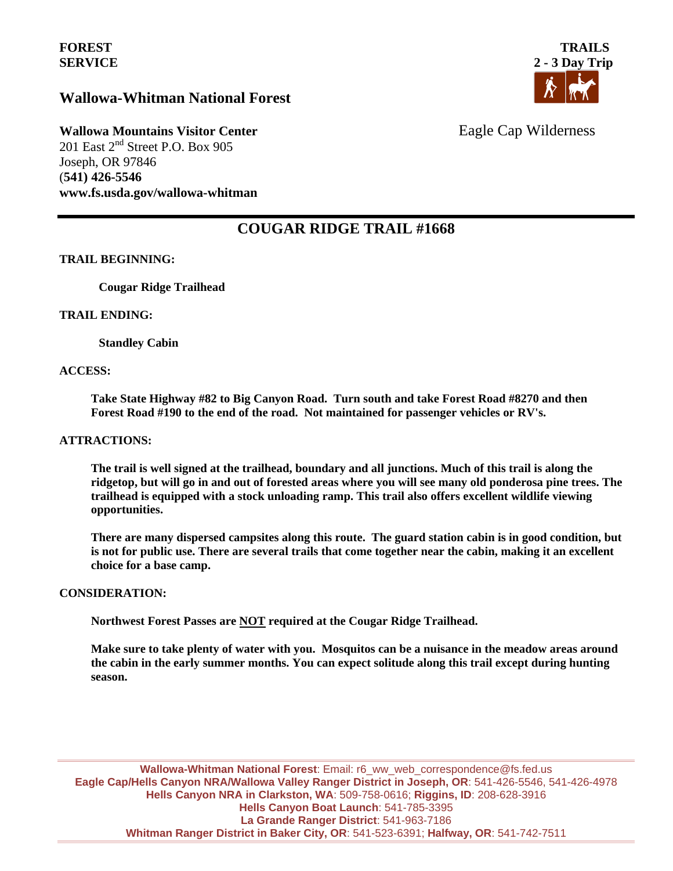## **Wallowa-Whitman National Forest**



# **Wallowa Mountains Visitor Center** Eagle Cap Wilderness

201 East  $2<sup>nd</sup>$  Street P.O. Box 905 Joseph, OR 97846 (**541) 426-5546 www.fs.usda.gov/wallowa-whitman** 

## **COUGAR RIDGE TRAIL #1668**

### **TRAIL BEGINNING:**

**Cougar Ridge Trailhead**

### **TRAIL ENDING:**

**Standley Cabin**

#### **ACCESS:**

**Take State Highway #82 to Big Canyon Road. Turn south and take Forest Road #8270 and then Forest Road #190 to the end of the road. Not maintained for passenger vehicles or RV's.**

#### **ATTRACTIONS:**

**The trail is well signed at the trailhead, boundary and all junctions. Much of this trail is along the ridgetop, but will go in and out of forested areas where you will see many old ponderosa pine trees. The trailhead is equipped with a stock unloading ramp. This trail also offers excellent wildlife viewing opportunities.** 

**There are many dispersed campsites along this route. The guard station cabin is in good condition, but is not for public use. There are several trails that come together near the cabin, making it an excellent choice for a base camp.** 

### **CONSIDERATION:**

**Northwest Forest Passes are NOT required at the Cougar Ridge Trailhead.**

**Make sure to take plenty of water with you. Mosquitos can be a nuisance in the meadow areas around the cabin in the early summer months. You can expect solitude along this trail except during hunting season.** 

**Wallowa-Whitman National Forest**: Email: r6\_ww\_web\_correspondence@fs.fed.us **Eagle Cap/Hells Canyon NRA/Wallowa Valley Ranger District in Joseph, OR**: 541-426-5546, 541-426-4978 **Hells Canyon NRA in Clarkston, WA**: 509-758-0616; **Riggins, ID**: 208-628-3916 **Hells Canyon Boat Launch**: 541-785-3395 **La Grande Ranger District**: 541-963-7186 **Whitman Ranger District in Baker City, OR**: 541-523-6391; **Halfway, OR**: 541-742-7511